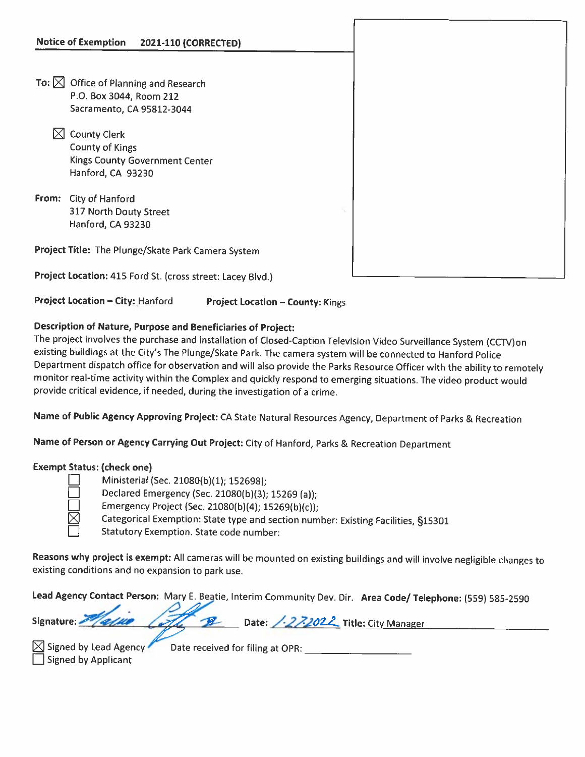|                 | <b>Notice of Exemption</b><br>2021-110 (CORRECTED)         |  |
|-----------------|------------------------------------------------------------|--|
| To: $\boxtimes$ |                                                            |  |
|                 | Office of Planning and Research<br>P.O. Box 3044, Room 212 |  |
|                 | Sacramento, CA 95812-3044                                  |  |
|                 | <b>County Clerk</b>                                        |  |
|                 | <b>County of Kings</b>                                     |  |
|                 | Kings County Government Center                             |  |
|                 | Hanford, CA 93230                                          |  |
|                 | From: City of Hanford                                      |  |
|                 | 317 North Douty Street                                     |  |
|                 | Hanford, CA 93230                                          |  |
|                 | Project Title: The Plunge/Skate Park Camera System         |  |
|                 | Project Location: 415 Ford St. (cross street: Lacey Blvd.) |  |

Project Location – City: Hanford Project Location – County: Kings

## Description of Nature, Purpose and Beneficiaries of Project:

The project involves the purchase and installation of Closed-Caption Television Video Surveillance System (CCTV)on existing buildings at the City's The Plunge/Skate Park. The camera system will be connected to Hanford Police Department dispatch office for observation and will also provide the Parks Resource Officer with the ability to remotely monitor real-time activity within the Complex and quickly respond to emerging situations. The video product would provide critical evidence, if needed, during the investigation of <sup>a</sup> crime.

Name of Public Agency Approving Project: CA State Natural Resources Agency, Department of Parks & Recreation

Name of Person or Agency Carrying Out Project: City of Hanford, Parks & Recreation Department

## Exempt Status: (check one)

| --<br>۰ |
|---------|
|         |
|         |

Ministerial (Sec. 21080(b)(1); 152698); Declared Emergency (Sec. 21080(b)(3); 15269 (a)); Emergency Project (Sec. 21080(b)(4); 15269(b)(c)); Categorical Exemption: State type and section number: Existing Facilities, §15301 LI' Statutory Exemption. State code number:

Reasons why project is exempt: All cameras will be mounted on existing buildings and will involve negligible changes to existing conditions and no expansion to park use.

Lead Agency Contact Person: Mary E. Beatie, Interim Community 0ev. Dir. Area Code/ Telephone: (559) 585-2590

|  |  | Signature: Marine Coffee B Date: 1-272022 Title: City Manager |  |
|--|--|---------------------------------------------------------------|--|
|--|--|---------------------------------------------------------------|--|

 $\boxtimes$  Signed by Lead Agency Date received for filing at OPR: Signed by Applicant